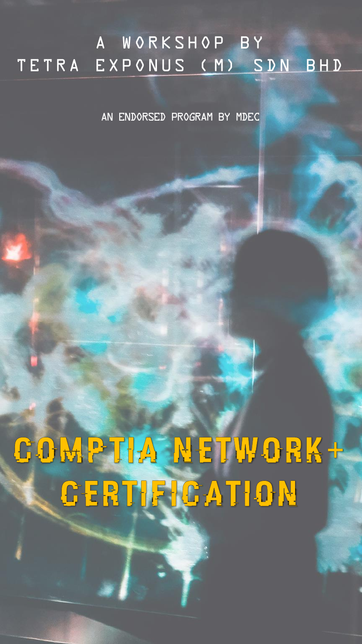## A WORKSHOP BY TETRA EXPONUS (M) SDN BHD

An endorsed program by MDEC

# GODA PILA NETWORK+ GERTIEIGATION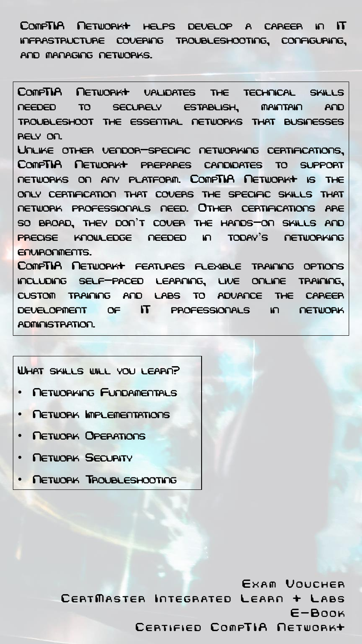CompTIA Network+ helps develop a career in IT infrastructure covering troubleshooting, configuring, and managing networks.

CompTIA Network+ validates the technical skills needed to securely establish, maintain and troubleshoot the essential networks that businesses rely on. Unlike other vendor-specific networking certifications, CompTIA Network+ prepares candidates to support networks on any platform. CompTIA Network+ is the only certification that covers the specific skills that network professionals need. Other certifications are so broad, they don't cover the hands-on skills and precise knowledge needed in today's networking environments.

CompTIA Network+ features flexible training options including self-paced learning, live online training, custom training and labs to advance the career development of IT professionals in network administration.

#### What skills will you learn?

- Networking Fundamentals
- Network Implementations
- Network Operations
- **NETWORK SECURITY**
- Network Troubleshooting

EXAM VOUCHER CERTMASTER INTEGRATED LEARN + LABS  $E-B$  $n$  $n$  $k$ CERTIFIED COMPTIA NETWORK+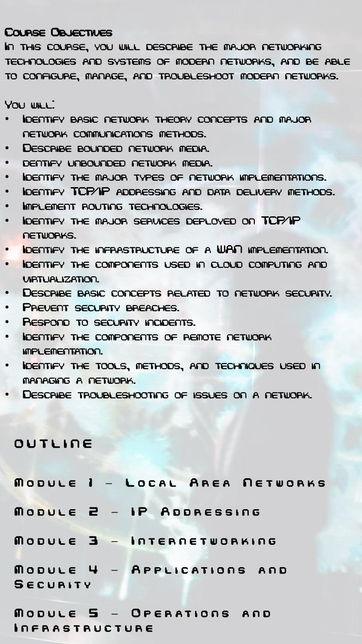#### Course Objectives

In this course, you will describe the major networking technologies and systems of modern networks, and be able to configure, manage, and troubleshoot modern networks.

You will:

- Identify basic network theory concepts and major network communications methods.
- Describe bounded network media.
- dentify unbounded network media.
- Identify the major types of network implementations.
- Identify TCP/IP addressing and data delivery methods.
- Implement routing technologies.
- Identify the major services deployed on TCP/IP networks.
- Identify the infrastructure of a WAN implementation.
- Identify the components used in cloud computing and virtualization.
- Describe basic concepts related to network security.
- PREVENT SECURITY BREACHES.
- Respond to security incidents.
- Identify the components of remote network implementation.
- Identify the tools, methods, and techniques used in managing a network.
- Describe troubleshooting of issues on a network.

#### **OUTLINE**

|                       |                               | MODULE I - LOCAL AREA NETWORKS |
|-----------------------|-------------------------------|--------------------------------|
|                       | MODULE 2 - IP ADDRESSING      |                                |
|                       | MODULE 3 - INTERNETWORKING    |                                |
|                       | MODULE $4$ - Applications and |                                |
| SECURITY              |                               |                                |
|                       | MODULE 5 - OPERATIONS AND     |                                |
| <b>INFRASTRUCTURE</b> |                               |                                |